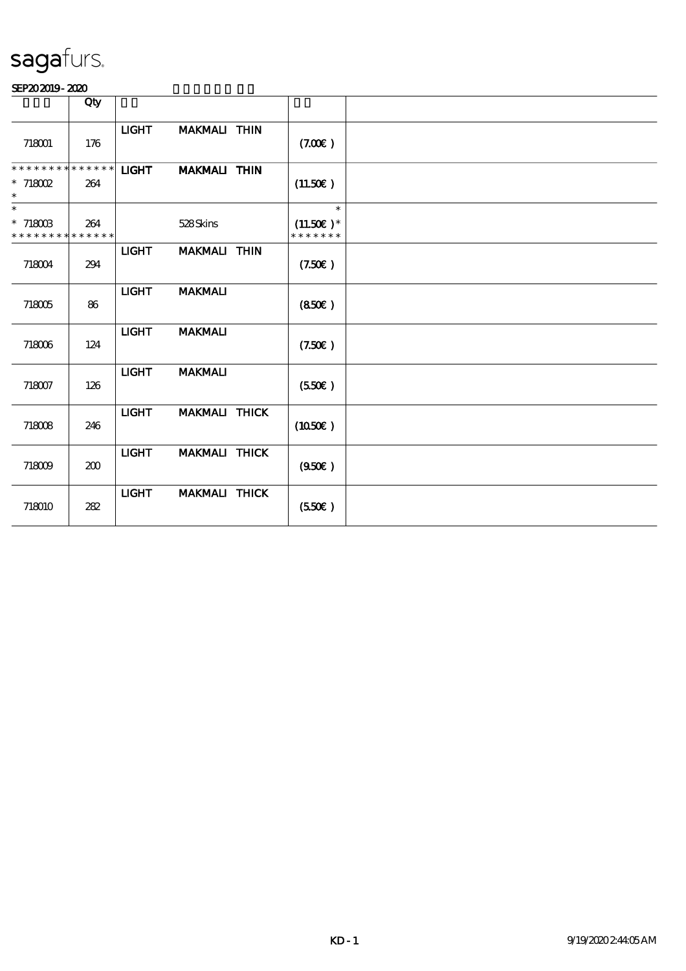|                                                          | Qty                |              |                      |                                        |  |
|----------------------------------------------------------|--------------------|--------------|----------------------|----------------------------------------|--|
| 718001                                                   | 176                | <b>LIGHT</b> | <b>MAKMALI THIN</b>  | (7.00)                                 |  |
| * * * * * * * *<br>$*$ 718002<br>$\ast$                  | * * * * * *<br>264 | <b>LIGHT</b> | <b>MAKMALI THIN</b>  | (11.50E)                               |  |
| $\overline{\phantom{0}}$<br>$*718003$<br>* * * * * * * * | 264<br>* * * * * * |              | 528Skins             | $\ast$<br>$(11.50)$ *<br>* * * * * * * |  |
| 718004                                                   | 294                | <b>LIGHT</b> | <b>MAKMALI THIN</b>  | (7.50)                                 |  |
| 718005                                                   | 86                 | <b>LIGHT</b> | <b>MAKMALI</b>       | (850)                                  |  |
| 718006                                                   | 124                | <b>LIGHT</b> | <b>MAKMALI</b>       | (7.50)                                 |  |
| 718007                                                   | 126                | <b>LIGHT</b> | <b>MAKMALI</b>       | (550)                                  |  |
| 718008                                                   | 246                | <b>LIGHT</b> | MAKMALI THICK        | (1050E)                                |  |
| 718009                                                   | 200                | <b>LIGHT</b> | <b>MAKMALI THICK</b> | (950)                                  |  |
| 718010                                                   | 282                | <b>LIGHT</b> | MAKMALI THICK        | $(550\varepsilon)$                     |  |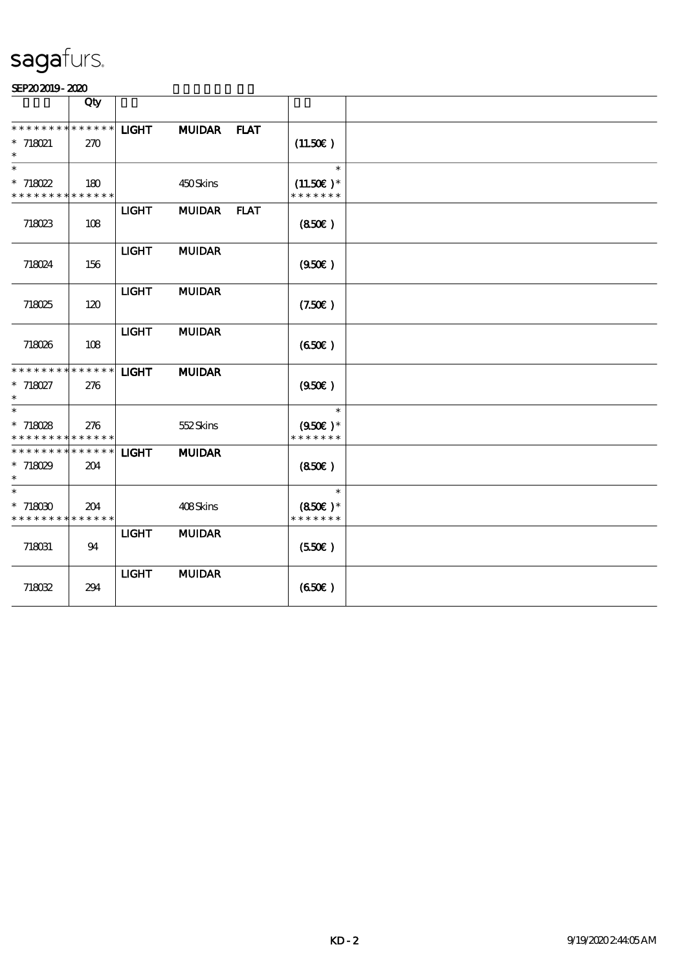|                                                                      | Qty                |              |               |                                              |  |
|----------------------------------------------------------------------|--------------------|--------------|---------------|----------------------------------------------|--|
| * * * * * * * *<br>* 718021                                          | * * * * * *<br>270 | <b>LIGHT</b> | MUIDAR FLAT   | (11.50)                                      |  |
| $\overline{\phantom{0}}$<br>$*718022$<br>* * * * * * * * * * * * * * | 180                |              | 450Skins      | $\ast$<br>$(11.50)$ *<br>* * * * * * *       |  |
| 718023                                                               | 108                | <b>LIGHT</b> | MUIDAR FLAT   | (850)                                        |  |
| 718024                                                               | 156                | <b>LIGHT</b> | <b>MUIDAR</b> | (950)                                        |  |
| 718025                                                               | 120                | <b>LIGHT</b> | <b>MUIDAR</b> | (7.50)                                       |  |
| 718026                                                               | 108                | <b>LIGHT</b> | <b>MUIDAR</b> | (650)                                        |  |
| ********<br>$* 718027$<br>$\ast$                                     | * * * * * *<br>276 | <b>LIGHT</b> | <b>MUIDAR</b> | (950)                                        |  |
| $\ast$<br>$*718028$<br>* * * * * * * * <mark>* * * * * *</mark>      | 276                |              | 552Skins      | $\ast$<br>$(950\epsilon)$ *<br>* * * * * * * |  |
| * * * * * * * * * * * * * * *<br>$*718029$<br>$\ast$                 | 204                | <b>LIGHT</b> | <b>MUIDAR</b> | (850)                                        |  |
| $\overline{\ast}$<br>$*718030$<br>* * * * * * * * * * * * * *        | 204                |              | 408Skins      | $\ast$<br>$(850\text{E})*$<br>* * * * * * *  |  |
| 718031                                                               | 94                 | <b>LIGHT</b> | <b>MUIDAR</b> | (550)                                        |  |
| 718032                                                               | 294                | <b>LIGHT</b> | <b>MUIDAR</b> | (650)                                        |  |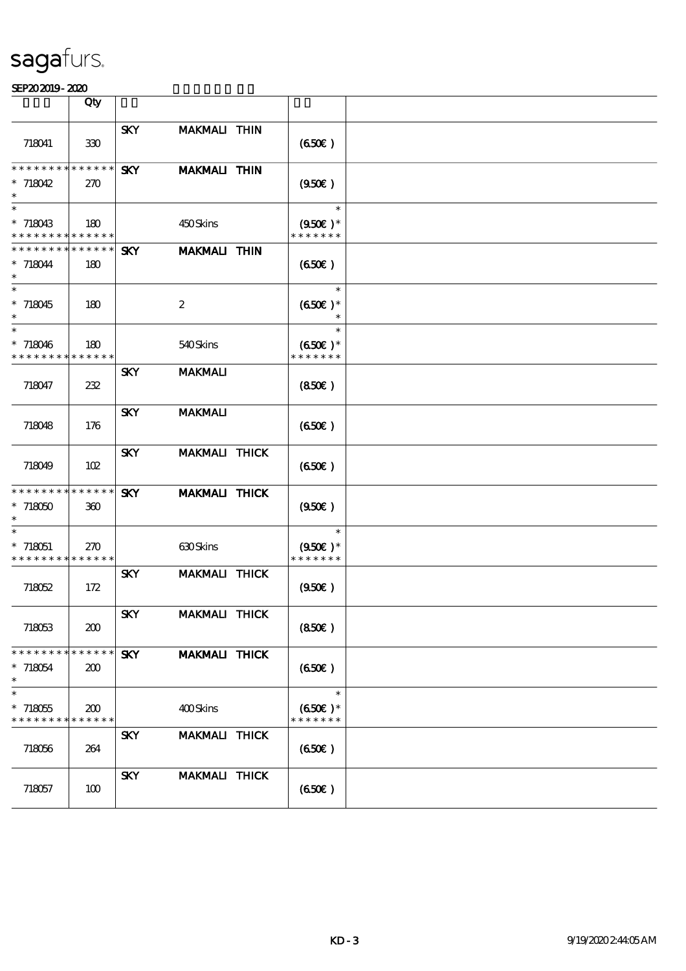|                                                    | Qty                |            |                      |                                              |  |
|----------------------------------------------------|--------------------|------------|----------------------|----------------------------------------------|--|
| 718041                                             | 330                | <b>SKY</b> | <b>MAKMALI THIN</b>  | (650)                                        |  |
| * * * * * * * * * * * * * *<br>$*718042$           | <b>270</b>         | <b>SKY</b> | <b>MAKMALI THIN</b>  | (950)                                        |  |
| $\ast$<br>$*718043$<br>* * * * * * * * * * * * * * | 180                |            | 450Skins             | $\ast$<br>$(950\epsilon)$ *<br>* * * * * * * |  |
| * * * * * * * * * * * * * *<br>$* 718044$          | 180                | <b>SKY</b> | <b>MAKMALI THIN</b>  | (650)                                        |  |
| $\ast$<br>$*718045$<br>$\ast$                      | 180                |            | $\boldsymbol{2}$     | $\ast$<br>$(650)$ *<br>$\ast$                |  |
| $\ast$<br>$*718046$<br>* * * * * * * * * * * * * * | 180                |            | 540Skins             | $\ast$<br>$(650E)*$<br>* * * * * * *         |  |
| 718047                                             | 232                | <b>SKY</b> | <b>MAKMALI</b>       | (850)                                        |  |
| 718048                                             | 176                | <b>SKY</b> | <b>MAKMALI</b>       | (650)                                        |  |
| 718049                                             | 102                | <b>SKY</b> | <b>MAKMALI THICK</b> | (650)                                        |  |
| * * * * * * * * * * * * * *<br>$*718050$<br>$\ast$ | 360                | <b>SKY</b> | <b>MAKMALI THICK</b> | (950)                                        |  |
| $\ast$<br>$*718051$<br>* * * * * * * * * * * * * * | <b>270</b>         |            | $630$ Skins          | $\ast$<br>$(950\epsilon)$ *<br>* * * * * * * |  |
| 718052                                             | 172                | <b>SKY</b> | <b>MAKMALI THICK</b> | (950)                                        |  |
| 718053                                             | 200                | <b>SKY</b> | MAKMALI THICK        | (850)                                        |  |
| * * * * * * * *<br>$* 718054$<br>$\ast$            | * * * * * *<br>200 | <b>SKY</b> | <b>MAKMALI THICK</b> | (650)                                        |  |
| $\ast$<br>$*718055$<br>* * * * * * * *             | 200<br>* * * * * * |            | 400Skins             | $\ast$<br>$(650)$ *<br>* * * * * * *         |  |
| 718056                                             | 264                | <b>SKY</b> | MAKMALI THICK        | (650)                                        |  |
| 718057                                             | 100                | <b>SKY</b> | MAKMALI THICK        | (650)                                        |  |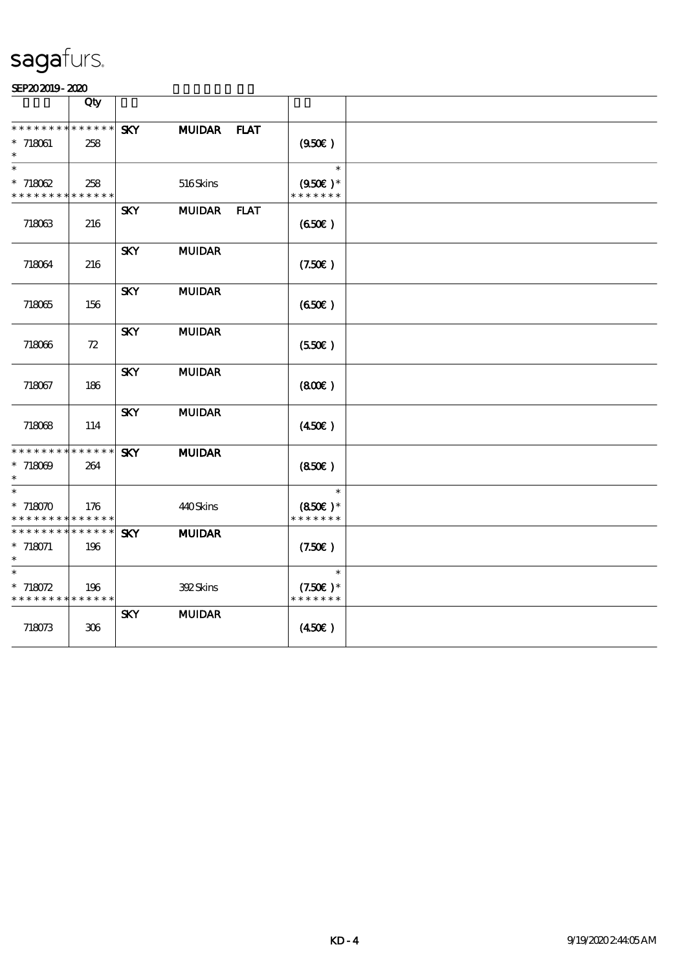|                                           | Qty                        |            |               |             |                                   |  |
|-------------------------------------------|----------------------------|------------|---------------|-------------|-----------------------------------|--|
| * * * * * * * * * * * * * *               |                            | <b>SKY</b> | <b>MUIDAR</b> | <b>FLAT</b> |                                   |  |
| $* 718061$<br>$\ast$                      | 258                        |            |               |             | (950)                             |  |
| $\ast$                                    |                            |            |               |             | $\ast$                            |  |
| $*718062$<br>* * * * * * * *              | 258<br>* * * * * *         |            | 516Skins      |             | $(950\epsilon)*$<br>* * * * * * * |  |
|                                           |                            | <b>SKY</b> | <b>MUIDAR</b> | <b>FLAT</b> |                                   |  |
| 718063                                    | 216                        |            |               |             | (650)                             |  |
| 718064                                    | 216                        | <b>SKY</b> | <b>MUIDAR</b> |             | (7.50)                            |  |
| 718065                                    | 156                        | <b>SKY</b> | <b>MUIDAR</b> |             | (650)                             |  |
| 718066                                    | $72\,$                     | <b>SKY</b> | <b>MUIDAR</b> |             | (550)                             |  |
| 718067                                    | 186                        | <b>SKY</b> | <b>MUIDAR</b> |             | (800)                             |  |
| 718068                                    | 114                        | <b>SKY</b> | <b>MUIDAR</b> |             | (450)                             |  |
| **************                            |                            | <b>SKY</b> | <b>MUIDAR</b> |             |                                   |  |
| $*718009$<br>$\ast$                       | 264                        |            |               |             | (850)                             |  |
| $\ast$                                    |                            |            |               |             | $\ast$                            |  |
| $*718070$                                 | 176                        |            | 440Skins      |             | $(850)$ *                         |  |
| * * * * * * * *<br>* * * * * * * *        | * * * * * *<br>* * * * * * | <b>SKY</b> |               |             | * * * * * * *                     |  |
| $* 718071$<br>$\ast$                      | 196                        |            | <b>MUIDAR</b> |             | (7.50)                            |  |
| $\ast$                                    |                            |            |               |             | $\ast$                            |  |
| $* 718072$<br>* * * * * * * * * * * * * * | 196                        |            | 392Skins      |             | $(7.50)$ *<br>* * * * * * *       |  |
| 718073                                    | $306\,$                    | <b>SKY</b> | <b>MUIDAR</b> |             | (450E)                            |  |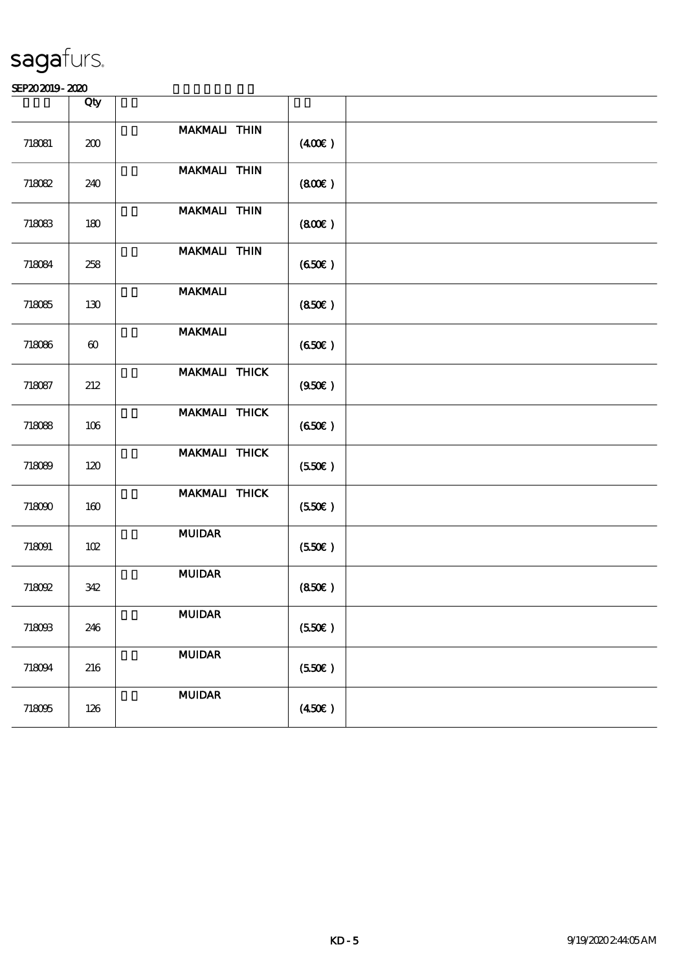|        | Qty                   |                     |        |  |
|--------|-----------------------|---------------------|--------|--|
|        |                       |                     |        |  |
| 718081 | 200                   | MAKMALI THIN        | (400)  |  |
| 718082 | 240                   | MAKMALI THIN        | (800)  |  |
| 718083 | 180                   | <b>MAKMALI THIN</b> | (800)  |  |
| 718084 | 258                   | MAKMALI THIN        | (650)  |  |
| 718085 | 130                   | <b>MAKMALI</b>      | (850)  |  |
| 718086 | $\boldsymbol{\omega}$ | <b>MAKMALI</b>      | (650)  |  |
| 718087 | 212                   | MAKMALI THICK       | (950)  |  |
| 718088 | 106                   | MAKMALI THICK       | (650)  |  |
| 718089 | 120                   | MAKMALI THICK       | (550)  |  |
| 718090 | 160                   | MAKMALI THICK       | (550)  |  |
| 718091 | 102                   | <b>MUIDAR</b>       | (550)  |  |
| 718092 | 342                   | <b>MUIDAR</b>       | (850)  |  |
| 718093 | 246                   | <b>MUIDAR</b>       | (550)  |  |
| 718094 | 216                   | $\bf MUDAR$         | (550)  |  |
| 718095 | 126                   | <b>MUIDAR</b>       | (450E) |  |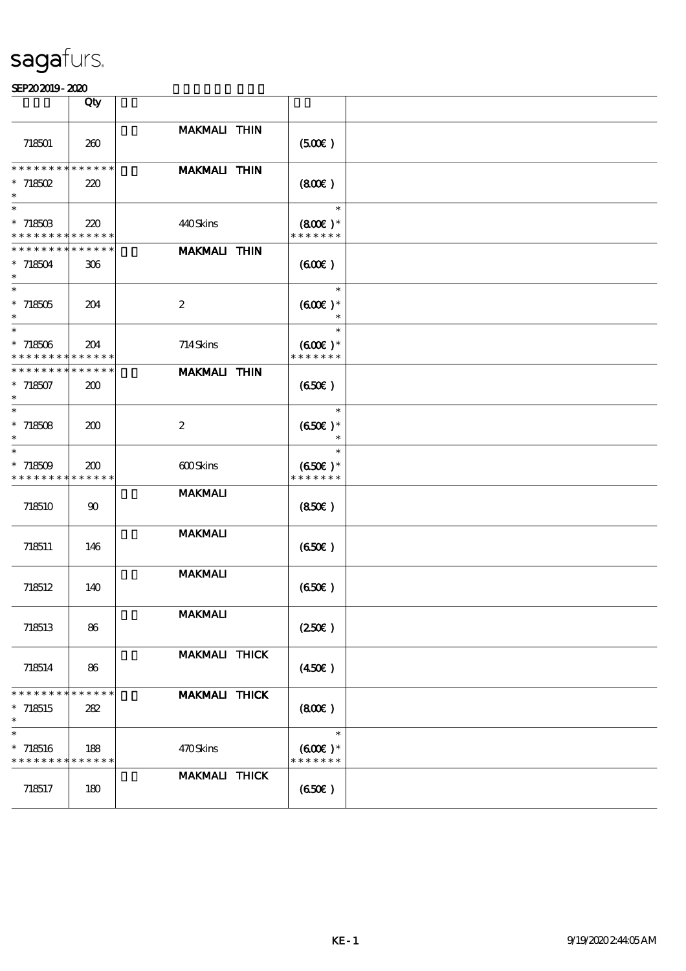|                                                          | Qty          |                      |                            |  |
|----------------------------------------------------------|--------------|----------------------|----------------------------|--|
|                                                          |              |                      |                            |  |
| 718501                                                   | 260          | <b>MAKMALI THIN</b>  | (500)                      |  |
| ********                                                 | * * * * * *  | <b>MAKMALI THIN</b>  |                            |  |
| $*718502$                                                | 220          |                      | (800)                      |  |
| $\ast$<br>$\ast$                                         |              |                      | $\ast$                     |  |
| $* 71850B$<br>* * * * * * * * <mark>* * * * * *</mark> * | 220          | 440Skins             | $(800)$ *<br>* * * * * * * |  |
| * * * * * * * *                                          | * * * * * *  | <b>MAKMALI THIN</b>  |                            |  |
| $* 718504$<br>$\ast$                                     | 306          |                      | (60E)                      |  |
| $\overline{\ast}$                                        |              |                      | $\ast$                     |  |
| $*718505$<br>$\ast$                                      | 204          | $\boldsymbol{2}$     | $(600)$ *                  |  |
| $\overline{\phantom{0}}$                                 |              |                      | $\ast$                     |  |
| $*718506$                                                | 204          | 714Skins             | $(600\varepsilon)*$        |  |
| * * * * * * * *                                          | * * * * * *  |                      | * * * * * * *              |  |
| * * * * * * * *                                          | * * * * * *  | <b>MAKMALI THIN</b>  |                            |  |
| $*718507$<br>$\ast$                                      | 200          |                      | (650)                      |  |
| $\ast$                                                   |              |                      | $\ast$                     |  |
| $* 718508$                                               | 200          | $\boldsymbol{2}$     | $(650)$ *                  |  |
| $\ast$                                                   |              |                      | $\ast$                     |  |
| $\ast$                                                   |              |                      | $\ast$                     |  |
| $*718509$                                                | 200          | 600Skins             | $(650)$ *                  |  |
| * * * * * * * *                                          | * * * * * *  |                      | * * * * * * *              |  |
| 718510                                                   | $90^{\circ}$ | <b>MAKMALI</b>       | (850)                      |  |
|                                                          |              | <b>MAKMALI</b>       |                            |  |
| 718511                                                   | 146          |                      | (650)                      |  |
|                                                          |              | <b>MAKMALI</b>       |                            |  |
| 718512                                                   | 140          |                      | (650)                      |  |
|                                                          |              |                      |                            |  |
|                                                          |              | <b>MAKMALI</b>       |                            |  |
| 718513                                                   | 86           |                      | (250E)                     |  |
|                                                          |              |                      |                            |  |
|                                                          |              | MAKMALI THICK        |                            |  |
| 718514                                                   | 86           |                      | (450E)                     |  |
| * * * * * * * *                                          | * * * * * *  | MAKMALI THICK        |                            |  |
| $*718515$                                                | 282          |                      | (800)                      |  |
| $\ast$                                                   |              |                      |                            |  |
| $\ast$                                                   |              |                      | $\ast$                     |  |
| $* 718516$                                               | 188          | 470Skins             | $(600\varepsilon)*$        |  |
| $*********$                                              | * * * * * *  |                      | * * * * * * *              |  |
|                                                          |              | <b>MAKMALI THICK</b> |                            |  |
| 718517                                                   | 180          |                      | (650)                      |  |